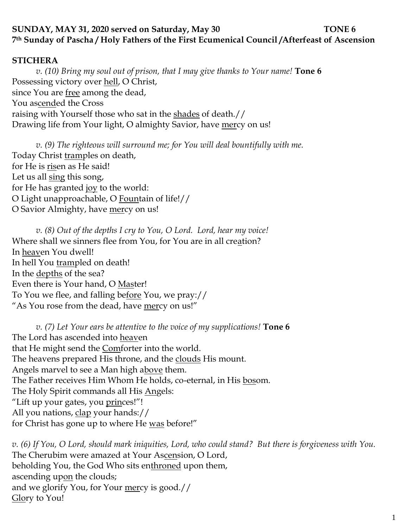# **SUNDAY, MAY 31, 2020 served on Saturday, May 30 TONE 6 7th Sunday of Pascha / Holy Fathers of the First Ecumenical Council /Afterfeast of Ascension**

### **STICHERA**

*v. (10) Bring my soul out of prison, that I may give thanks to Your name!* **Tone 6** Possessing victory over hell, O Christ, since You are free among the dead, You ascended the Cross raising with Yourself those who sat in the shades of death.// Drawing life from Your light, O almighty Savior, have mercy on us!

*v.* (9) The righteous will surround me; for You will deal bountifully with me. Today Christ tramples on death, for He is risen as He said! Let us all sing this song, for He has granted joy to the world: O Light unapproachable, O Fountain of life!// O Savior Almighty, have mercy on us!

*v. (8) Out of the depths I cry to You, O Lord. Lord, hear my voice!*  Where shall we sinners flee from You, for You are in all creation? In heaven You dwell! In hell You trampled on death! In the depths of the sea? Even there is Your hand, O Master! To You we flee, and falling before You, we pray:// "As You rose from the dead, have mercy on us!"

*v. (7) Let Your ears be attentive to the voice of my supplications!* **Tone 6** The Lord has ascended into heaven that He might send the Comforter into the world. The heavens prepared His throne, and the clouds His mount. Angels marvel to see a Man high above them. The Father receives Him Whom He holds, co-eternal, in His bosom. The Holy Spirit commands all His Angels: "Lift up your gates, you princes!"! All you nations, clap your hands:// for Christ has gone up to where He was before!"

*v. (6) If You, O Lord, should mark iniquities, Lord, who could stand? But there is forgiveness with You.*  The Cherubim were amazed at Your Ascension, O Lord, beholding You, the God Who sits enthroned upon them, ascending upon the clouds; and we glorify You, for Your mercy is good.// Glory to You!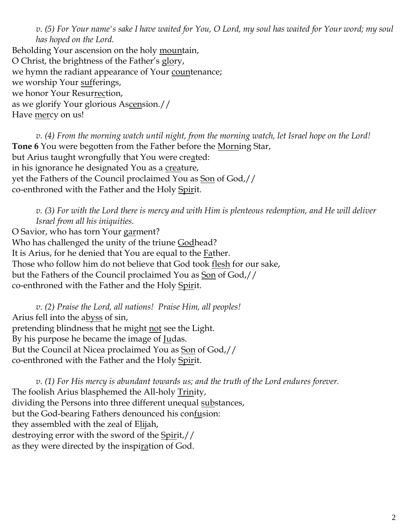*v. (5) For Your name's sake I have waited for You, O Lord, my soul has waited for Your word; my soul has hoped on the Lord.*  Beholding Your ascension on the holy mountain, O Christ, the brightness of the Father's glory, we hymn the radiant appearance of Your countenance; we worship Your sufferings, we honor Your Resurrection, as we glorify Your glorious Ascension.// Have mercy on us!

*v. (4) From the morning watch until night, from the morning watch, let Israel hope on the Lord!*  **Tone 6** You were begotten from the Father before the Morning Star, but Arius taught wrongfully that You were created: in his ignorance he designated You as a creature, yet the Fathers of the Council proclaimed You as Son of God,// co-enthroned with the Father and the Holy Spirit.

*v. (3) For with the Lord there is mercy and with Him is plenteous redemption, and He will deliver Israel from all his iniquities.*

O Savior, who has torn Your garment? Who has challenged the unity of the triune Godhead? It is Arius, for he denied that You are equal to the Father. Those who follow him do not believe that God took flesh for our sake, but the Fathers of the Council proclaimed You as Son of God,// co-enthroned with the Father and the Holy Spirit.

*v. (2) Praise the Lord, all nations! Praise Him, all peoples!* Arius fell into the abyss of sin, pretending blindness that he might not see the Light. By his purpose he became the image of <u>Ju</u>das. But the Council at Nicea proclaimed You as Son of God,// co-enthroned with the Father and the Holy Spirit.

*v. (1) For His mercy is abundant towards us; and the truth of the Lord endures forever.* The foolish Arius blasphemed the All-holy Trinity, dividing the Persons into three different unequal substances, but the God-bearing Fathers denounced his confusion: they assembled with the zeal of Elijah, destroying error with the sword of the Spirit,// as they were directed by the inspiration of God.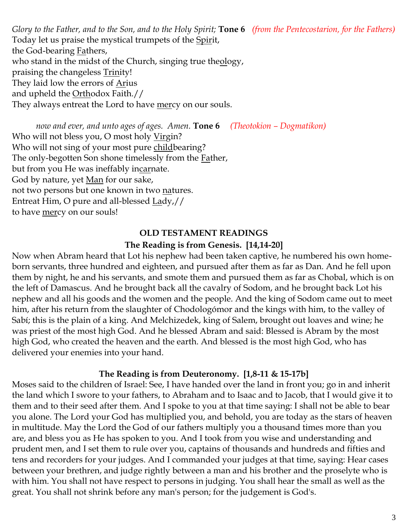*Glory to the Father, and to the Son, and to the Holy Spirit;* **Tone 6** *(from the Pentecostarion, for the Fathers)* Today let us praise the mystical trumpets of the Spirit, the God-bearing Fathers, who stand in the midst of the Church, singing true theology, praising the changeless Trinity! They laid low the errors of **A**rius and upheld the Orthodox Faith.// They always entreat the Lord to have mercy on our souls.

*now and ever, and unto ages of ages. Amen.* **Tone 6** *(Theotokion – Dogmatikon)* Who will not bless you, O most holy Virgin? Who will not sing of your most pure childbearing? The only-begotten Son shone timelessly from the Father, but from you He was ineffably incarnate. God by nature, yet Man for our sake, not two persons but one known in two natures. Entreat Him, O pure and all-blessed Lady,// to have mercy on our souls!

### **OLD TESTAMENT READINGS**

#### **The Reading is from Genesis. [14,14-20]**

Now when Abram heard that Lot his nephew had been taken captive, he numbered his own homeborn servants, three hundred and eighteen, and pursued after them as far as Dan. And he fell upon them by night, he and his servants, and smote them and pursued them as far as Chobal, which is on the left of Damascus. And he brought back all the cavalry of Sodom, and he brought back Lot his nephew and all his goods and the women and the people. And the king of Sodom came out to meet him, after his return from the slaughter of Chodologómor and the kings with him, to the valley of Sabí; this is the plain of a king. And Melchizedek, king of Salem, brought out loaves and wine; he was priest of the most high God. And he blessed Abram and said: Blessed is Abram by the most high God, who created the heaven and the earth. And blessed is the most high God, who has delivered your enemies into your hand.

#### **The Reading is from Deuteronomy. [1,8-11 & 15-17b]**

Moses said to the children of Israel: See, I have handed over the land in front you; go in and inherit the land which I swore to your fathers, to Abraham and to Isaac and to Jacob, that I would give it to them and to their seed after them. And I spoke to you at that time saying: I shall not be able to bear you alone. The Lord your God has multiplied you, and behold, you are today as the stars of heaven in multitude. May the Lord the God of our fathers multiply you a thousand times more than you are, and bless you as He has spoken to you. And I took from you wise and understanding and prudent men, and I set them to rule over you, captains of thousands and hundreds and fifties and tens and recorders for your judges. And I commanded your judges at that time, saying: Hear cases between your brethren, and judge rightly between a man and his brother and the proselyte who is with him. You shall not have respect to persons in judging. You shall hear the small as well as the great. You shall not shrink before any man's person; for the judgement is God's.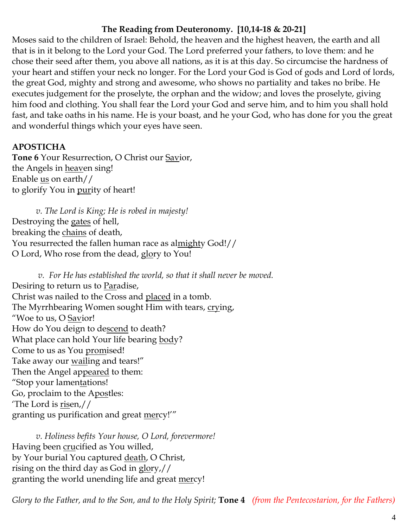## **The Reading from Deuteronomy. [10,14-18 & 20-21]**

Moses said to the children of Israel: Behold, the heaven and the highest heaven, the earth and all that is in it belong to the Lord your God. The Lord preferred your fathers, to love them: and he chose their seed after them, you above all nations, as it is at this day. So circumcise the hardness of your heart and stiffen your neck no longer. For the Lord your God is God of gods and Lord of lords, the great God, mighty and strong and awesome, who shows no partiality and takes no bribe. He executes judgement for the proselyte, the orphan and the widow; and loves the proselyte, giving him food and clothing. You shall fear the Lord your God and serve him, and to him you shall hold fast, and take oaths in his name. He is your boast, and he your God, who has done for you the great and wonderful things which your eyes have seen.

## **APOSTICHA**

**Tone 6** Your Resurrection, O Christ our Savior, the Angels in heaven sing! Enable us on earth// to glorify You in purity of heart!

*v. The Lord is King; He is robed in majesty!*  Destroying the gates of hell, breaking the chains of death, You resurrected the fallen human race as almighty God!// O Lord, Who rose from the dead, glory to You!

*v. For He has established the world, so that it shall never be moved.* Desiring to return us to Paradise, Christ was nailed to the Cross and placed in a tomb. The Myrrhbearing Women sought Him with tears, crying, "Woe to us, O Savior! How do You deign to descend to death? What place can hold Your life bearing body? Come to us as You promised! Take away our <u>wail</u>ing and tears!" Then the Angel appeared to them: "Stop your lamentations! Go, proclaim to the Apostles: 'The Lord is risen,// granting us purification and great mercy!'"

*v. Holiness befits Your house, O Lord, forevermore!*  Having been crucified as You willed, by Your burial You captured death, O Christ, rising on the third day as God in glory,// granting the world unending life and great mercy!

*Glory to the Father, and to the Son, and to the Holy Spirit;* **Tone 4** *(from the Pentecostarion, for the Fathers)*